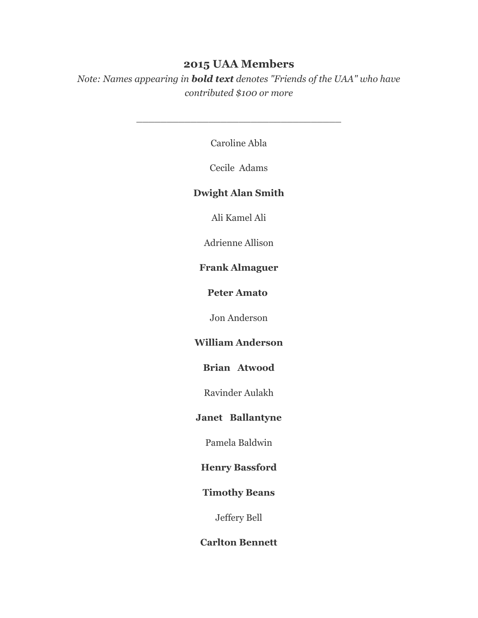# **2015 UAA Members**

*Note: Names appearing in bold text denotes "Friends of the UAA" who have contributed \$100 or more*

Caroline Abla

\_\_\_\_\_\_\_\_\_\_\_\_\_\_\_\_\_\_\_\_\_\_\_\_\_\_\_\_\_\_\_\_\_\_

Cecile Adams

## **Dwight Alan Smith**

Ali Kamel Ali

Adrienne Allison

# **Frank Almaguer**

**Peter Amato**

Jon Anderson

# **William Anderson**

### **Brian Atwood**

Ravinder Aulakh

### **Janet Ballantyne**

Pamela Baldwin

#### **Henry Bassford**

# **Timothy Beans**

Jeffery Bell

### **Carlton Bennett**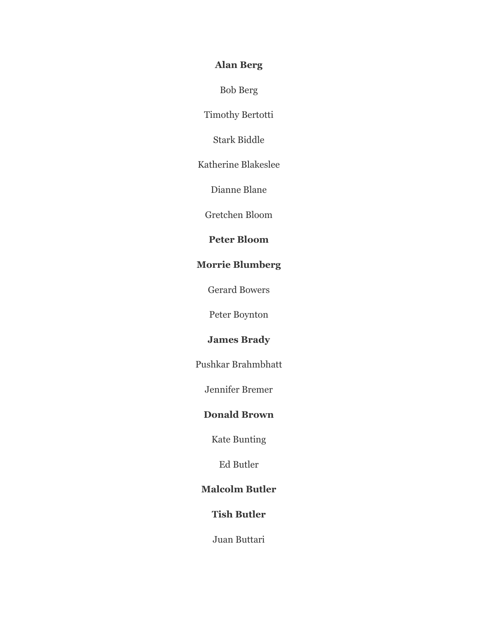# **Alan Berg**

Bob Berg

Timothy Bertotti

Stark Biddle

Katherine Blakeslee

Dianne Blane

Gretchen Bloom

## **Peter Bloom**

# **Morrie Blumberg**

Gerard Bowers

Peter Boynton

### **James Brady**

Pushkar Brahmbhatt

Jennifer Bremer

### **Donald Brown**

Kate Bunting

Ed Butler

### **Malcolm Butler**

### **Tish Butler**

Juan Buttari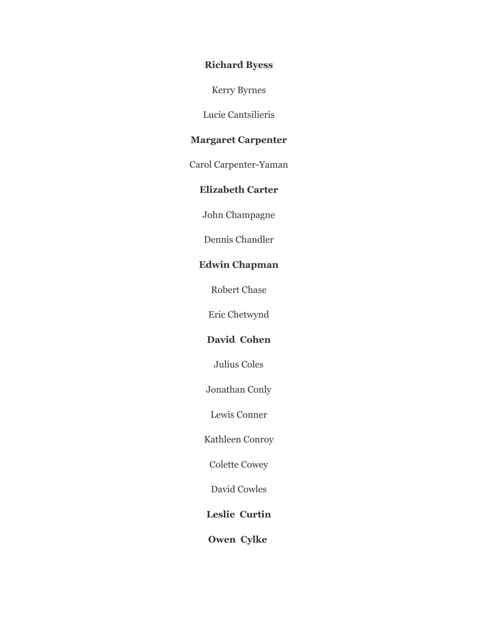## **Richard Byess**

Kerry Byrnes

Lucie Cantsilieris

### **Margaret Carpenter**

Carol Carpenter-Yaman

## **Elizabeth Carter**

John Champagne

Dennis Chandler

# **Edwin Chapman**

Robert Chase

Eric Chetwynd

## **David Cohen**

Julius Coles

Jonathan Conly

Lewis Conner

Kathleen Conroy

Colette Cowey

David Cowles

**Leslie Curtin**

**Owen Cylke**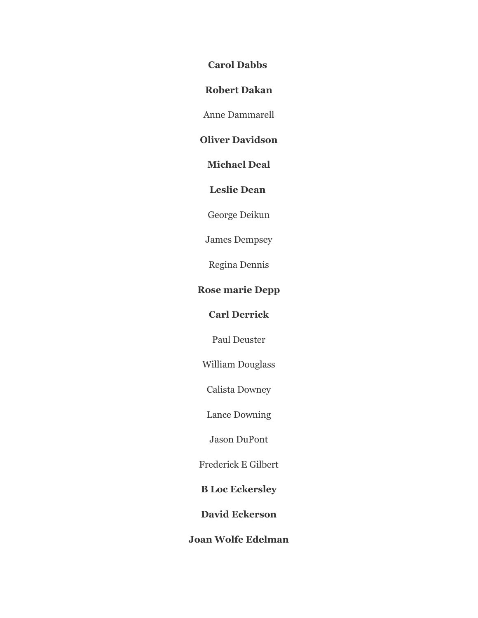**Carol Dabbs**

**Robert Dakan**

Anne Dammarell

## **Oliver Davidson**

**Michael Deal**

**Leslie Dean**

George Deikun

James Dempsey

Regina Dennis

## **Rose marie Depp**

# **Carl Derrick**

Paul Deuster

William Douglass

Calista Downey

Lance Downing

Jason DuPont

Frederick E Gilbert

**B Loc Eckersley**

**David Eckerson**

## **Joan Wolfe Edelman**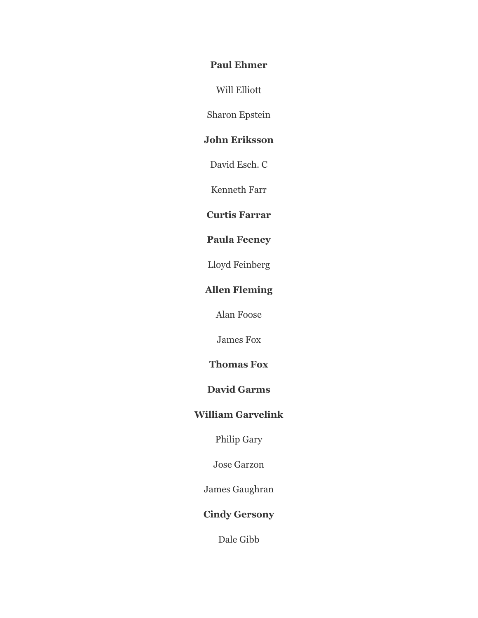### **Paul Ehmer**

Will Elliott

Sharon Epstein

# **John Eriksson**

David Esch. C

Kenneth Farr

### **Curtis Farrar**

## **Paula Feeney**

Lloyd Feinberg

# **Allen Fleming**

Alan Foose

James Fox

### **Thomas Fox**

## **David Garms**

# **William Garvelink**

Philip Gary

Jose Garzon

James Gaughran

## **Cindy Gersony**

Dale Gibb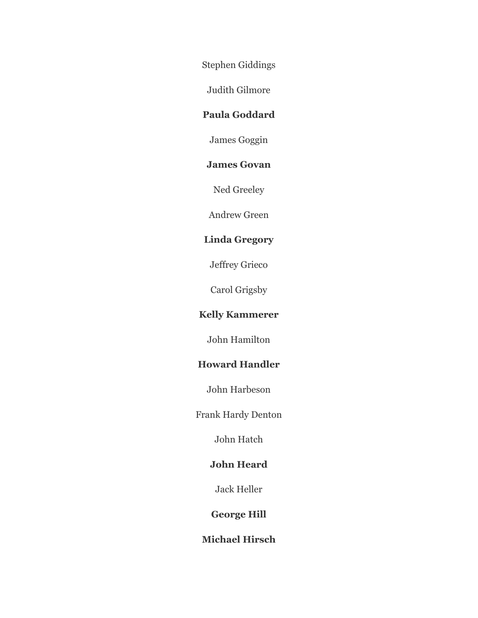Stephen Giddings

Judith Gilmore

## **Paula Goddard**

James Goggin

## **James Govan**

Ned Greeley

Andrew Green

## **Linda Gregory**

Jeffrey Grieco

Carol Grigsby

# **Kelly Kammerer**

John Hamilton

# **Howard Handler**

John Harbeson

Frank Hardy Denton

John Hatch

## **John Heard**

Jack Heller

## **George Hill**

# **Michael Hirsch**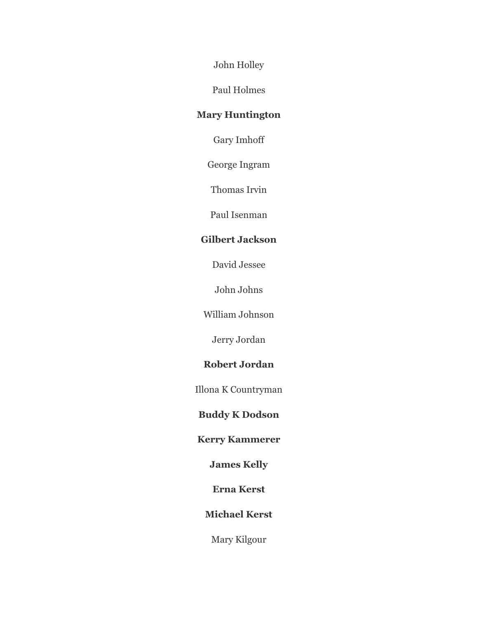John Holley

Paul Holmes

# **Mary Huntington**

Gary Imhoff

George Ingram

Thomas Irvin

Paul Isenman

### **Gilbert Jackson**

David Jessee

John Johns

William Johnson

Jerry Jordan

### **Robert Jordan**

Illona K Countryman

# **Buddy K Dodson**

**Kerry Kammerer**

**James Kelly**

**Erna Kerst**

**Michael Kerst**

Mary Kilgour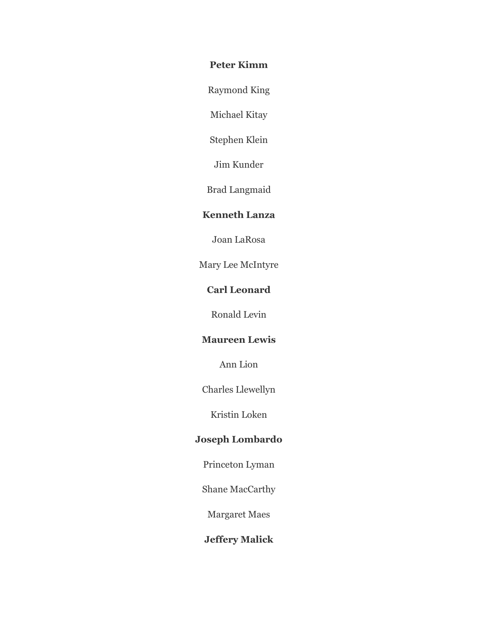## **Peter Kimm**

Raymond King

Michael Kitay

Stephen Klein

Jim Kunder

Brad Langmaid

### **Kenneth Lanza**

Joan LaRosa

Mary Lee McIntyre

# **Carl Leonard**

Ronald Levin

## **Maureen Lewis**

Ann Lion

Charles Llewellyn

Kristin Loken

## **Joseph Lombardo**

Princeton Lyman

Shane MacCarthy

Margaret Maes

# **Jeffery Malick**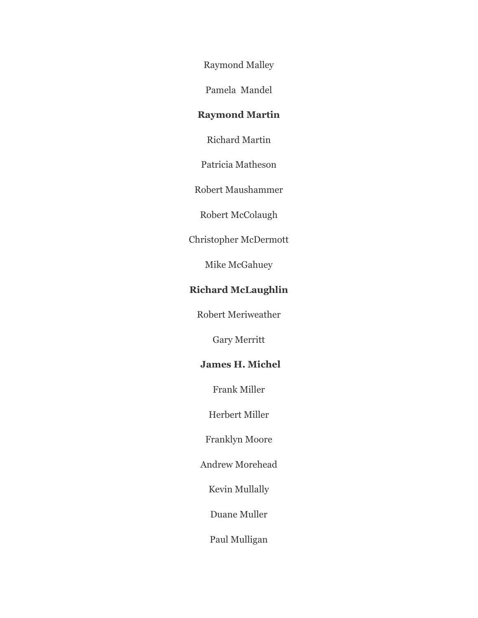Raymond Malley

Pamela Mandel

# **Raymond Martin**

Richard Martin

Patricia Matheson

Robert Maushammer

Robert McColaugh

Christopher McDermott

Mike McGahuey

## **Richard McLaughlin**

Robert Meriweather

Gary Merritt

## **James H. Michel**

Frank Miller

Herbert Miller

Franklyn Moore

Andrew Morehead

Kevin Mullally

Duane Muller

Paul Mulligan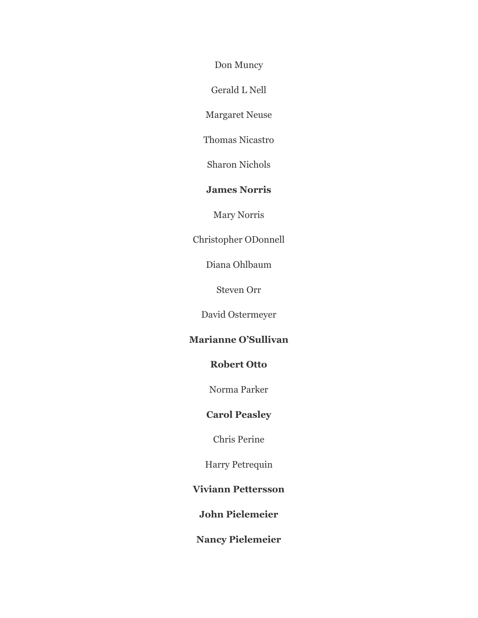Don Muncy

Gerald L Nell

Margaret Neuse

Thomas Nicastro

Sharon Nichols

## **James Norris**

Mary Norris

Christopher ODonnell

Diana Ohlbaum

Steven Orr

David Ostermeyer

## **Marianne O'Sullivan**

### **Robert Otto**

Norma Parker

# **Carol Peasley**

Chris Perine

Harry Petrequin

### **Viviann Pettersson**

**John Pielemeier**

**Nancy Pielemeier**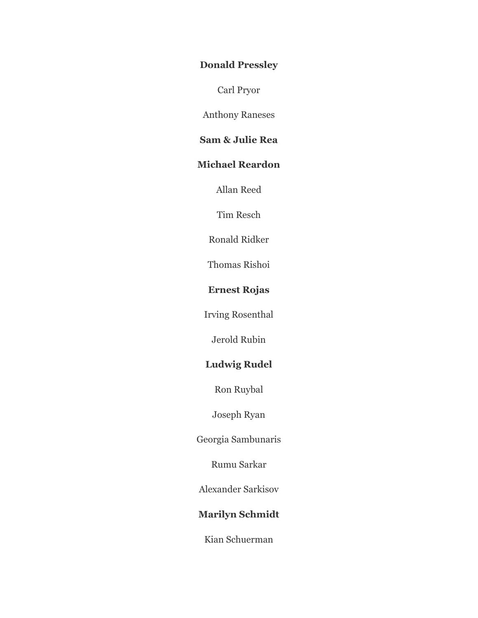## **Donald Pressley**

Carl Pryor

Anthony Raneses

# **Sam & Julie Rea**

## **Michael Reardon**

Allan Reed

Tim Resch

Ronald Ridker

Thomas Rishoi

# **Ernest Rojas**

Irving Rosenthal

Jerold Rubin

# **Ludwig Rudel**

Ron Ruybal

Joseph Ryan

Georgia Sambunaris

Rumu Sarkar

Alexander Sarkisov

# **Marilyn Schmidt**

Kian Schuerman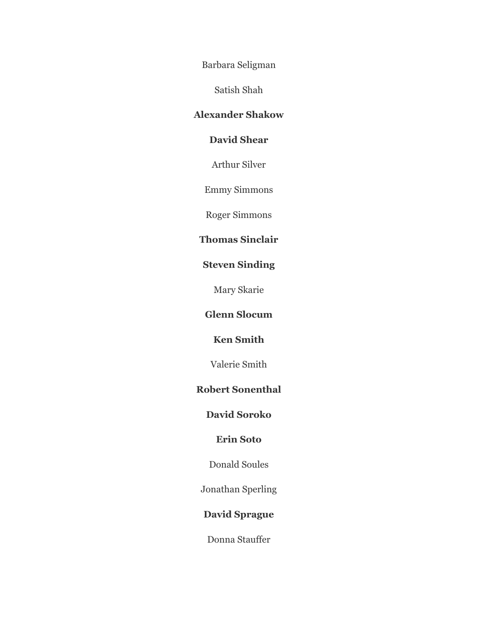Barbara Seligman

Satish Shah

# **Alexander Shakow**

# **David Shear**

Arthur Silver

Emmy Simmons

Roger Simmons

# **Thomas Sinclair**

# **Steven Sinding**

Mary Skarie

# **Glenn Slocum**

# **Ken Smith**

Valerie Smith

### **Robert Sonenthal**

# **David Soroko**

### **Erin Soto**

Donald Soules

Jonathan Sperling

## **David Sprague**

Donna Stauffer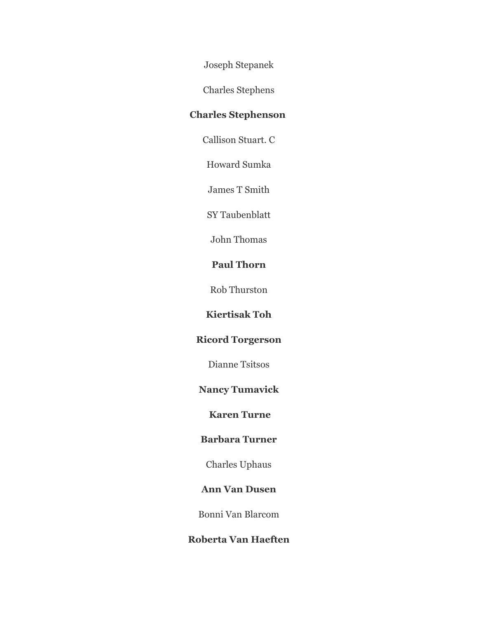Joseph Stepanek

Charles Stephens

# **Charles Stephenson**

Callison Stuart. C

Howard Sumka

James T Smith

SY Taubenblatt

John Thomas

## **Paul Thorn**

Rob Thurston

# **Kiertisak Toh**

# **Ricord Torgerson**

Dianne Tsitsos

## **Nancy Tumavick**

## **Karen Turne**

#### **Barbara Turner**

Charles Uphaus

### **Ann Van Dusen**

Bonni Van Blarcom

## **Roberta Van Haeften**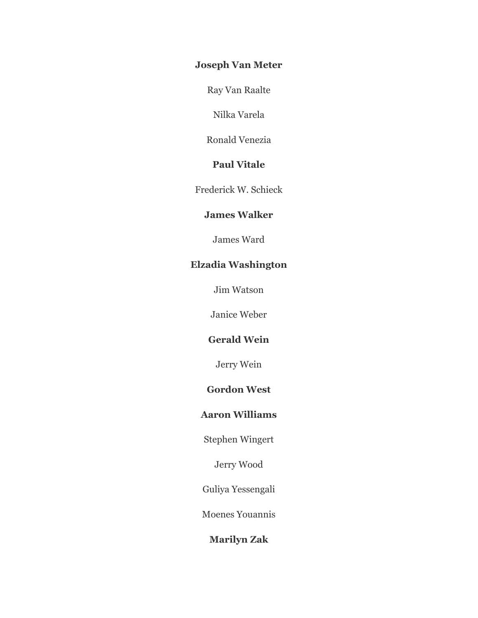## **Joseph Van Meter**

Ray Van Raalte

Nilka Varela

Ronald Venezia

# **Paul Vitale**

Frederick W. Schieck

### **James Walker**

James Ward

## **Elzadia Washington**

Jim Watson

Janice Weber

# **Gerald Wein**

Jerry Wein

## **Gordon West**

### **Aaron Williams**

Stephen Wingert

Jerry Wood

Guliya Yessengali

Moenes Youannis

# **Marilyn Zak**